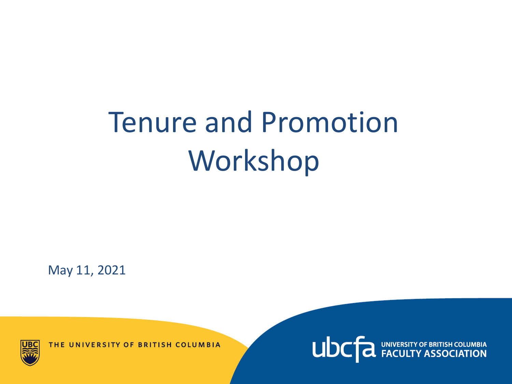# Tenure and Promotion Workshop

May 11, 2021

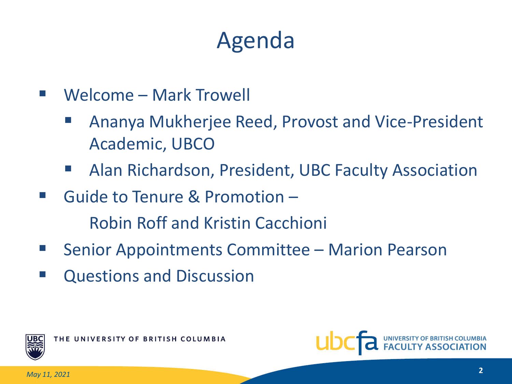## Agenda

- Welcome Mark Trowell
	- Ananya Mukherjee Reed, Provost and Vice-President Academic, UBCO
	- Alan Richardson, President, UBC Faculty Association
- Guide to Tenure & Promotion Robin Roff and Kristin Cacchioni
- Senior Appointments Committee Marion Pearson
- **E** Questions and Discussion



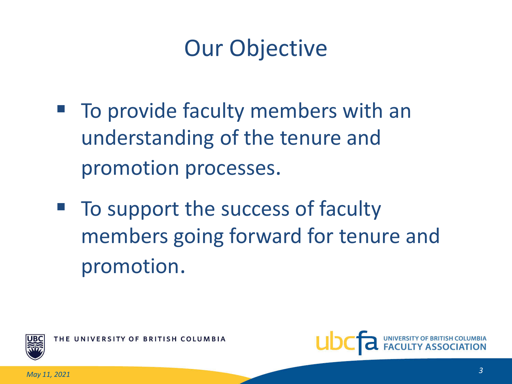## Our Objective

- To provide faculty members with an understanding of the tenure and promotion processes.
- To support the success of faculty members going forward for tenure and promotion.



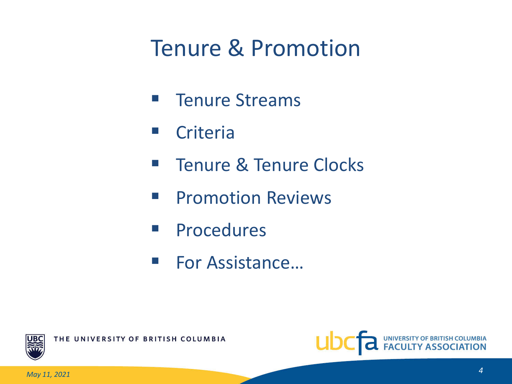## Tenure & Promotion

- **F** Tenure Streams
- **E** Criteria
- **Tenure & Tenure Clocks**
- **Promotion Reviews**
- **Procedures**
- For Assistance...



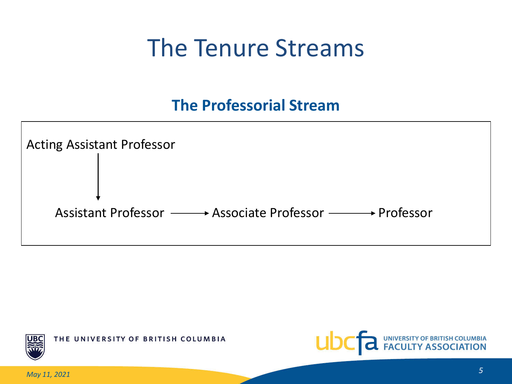## The Tenure Streams

#### **The Professorial Stream**





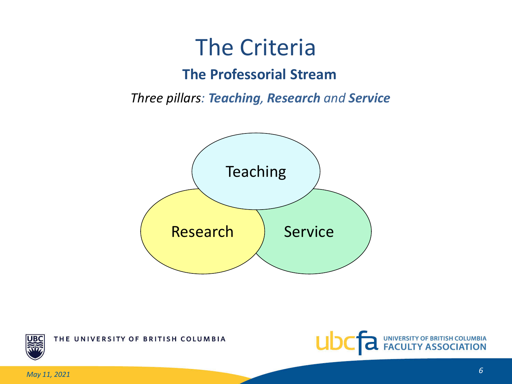### The Criteria

#### **The Professorial Stream**

*Three pillars: Teaching, Research and Service*





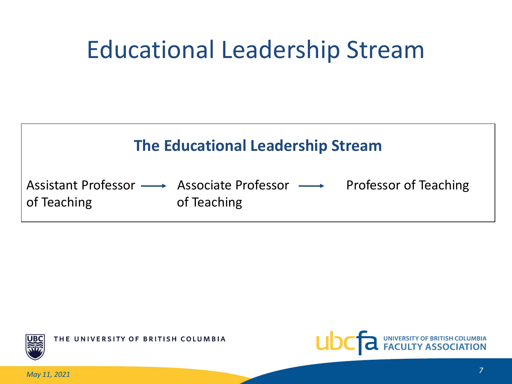## Educational Leadership Stream





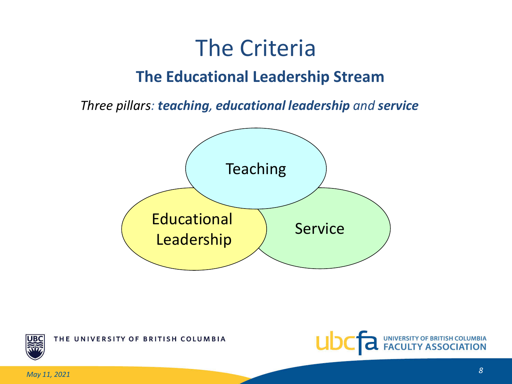### The Criteria **The Educational Leadership Stream**

*Three pillars: teaching, educational leadership and service*



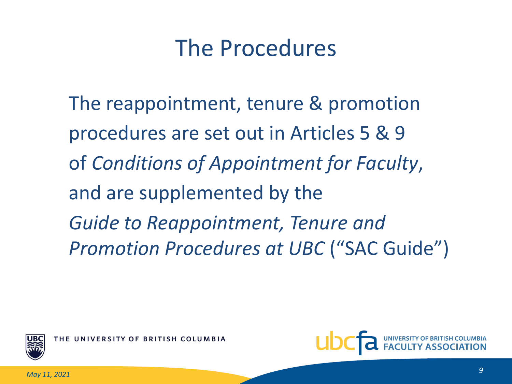### The Procedures

The reappointment, tenure & promotion procedures are set out in Articles 5 & 9 of *Conditions of Appointment for Faculty*, and are supplemented by the *Guide to Reappointment, Tenure and Promotion Procedures at UBC* ("SAC Guide")



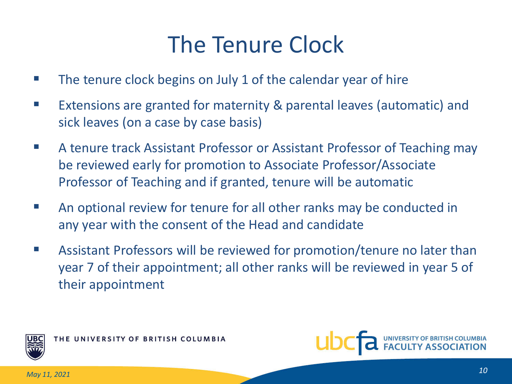## The Tenure Clock

- The tenure clock begins on July 1 of the calendar year of hire
- Extensions are granted for maternity & parental leaves (automatic) and sick leaves (on a case by case basis)
- A tenure track Assistant Professor or Assistant Professor of Teaching may be reviewed early for promotion to Associate Professor/Associate Professor of Teaching and if granted, tenure will be automatic
- An optional review for tenure for all other ranks may be conducted in any year with the consent of the Head and candidate
- Assistant Professors will be reviewed for promotion/tenure no later than year 7 of their appointment; all other ranks will be reviewed in year 5 of their appointment



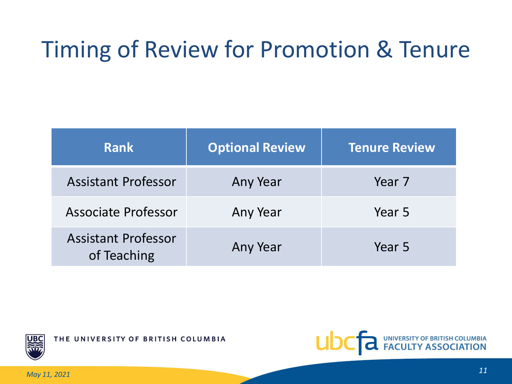## Timing of Review for Promotion & Tenure

| <b>Rank</b>                               | <b>Optional Review</b> | <b>Tenure Review</b> |
|-------------------------------------------|------------------------|----------------------|
| <b>Assistant Professor</b>                | Any Year               | Year 7               |
| Associate Professor                       | Any Year               | Year 5               |
| <b>Assistant Professor</b><br>of Teaching | Any Year               | Year 5               |



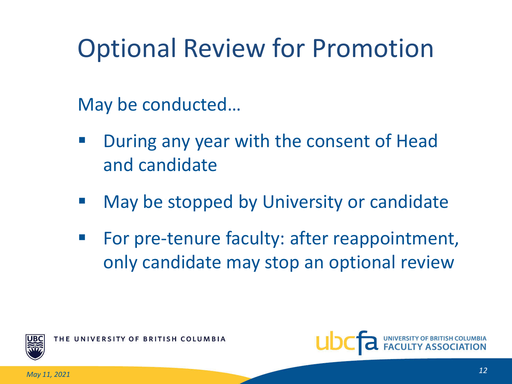# Optional Review for Promotion

May be conducted…

- During any year with the consent of Head and candidate
- May be stopped by University or candidate
- For pre-tenure faculty: after reappointment, only candidate may stop an optional review



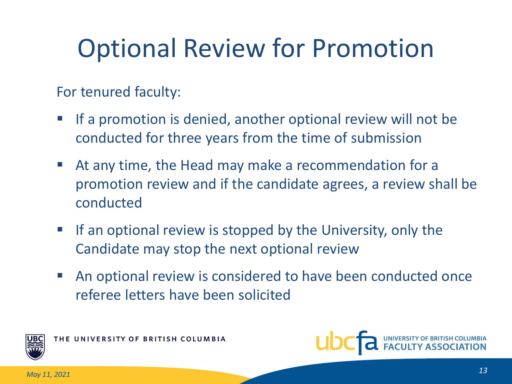# Optional Review for Promotion

For tenured faculty:

- **If a promotion is denied, another optional review will not be** conducted for three years from the time of submission
- At any time, the Head may make a recommendation for a promotion review and if the candidate agrees, a review shall be conducted
- $\blacksquare$  If an optional review is stopped by the University, only the Candidate may stop the next optional review
- An optional review is considered to have been conducted once referee letters have been solicited



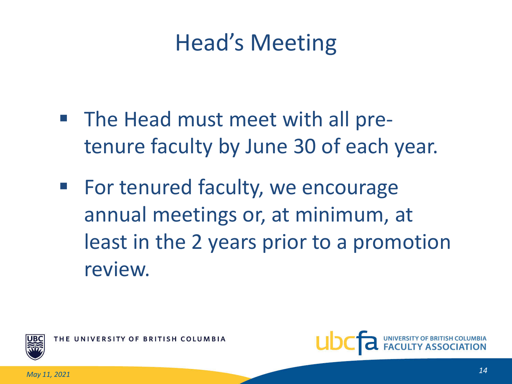## Head's Meeting

- The Head must meet with all pretenure faculty by June 30 of each year.
- For tenured faculty, we encourage annual meetings or, at minimum, at least in the 2 years prior to a promotion review.



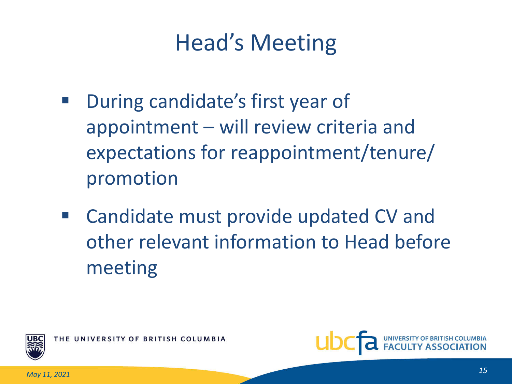## Head's Meeting

- During candidate's first year of appointment – will review criteria and expectations for reappointment/tenure/ promotion
- Candidate must provide updated CV and other relevant information to Head before meeting



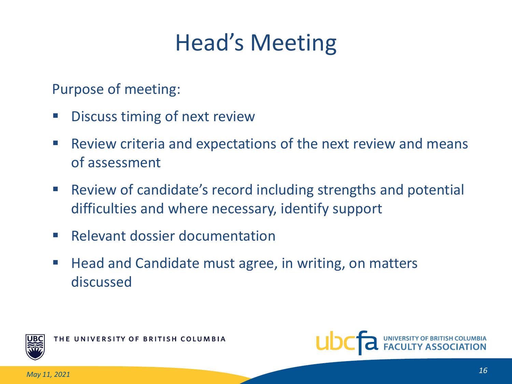## Head's Meeting

Purpose of meeting:

- Discuss timing of next review
- **Review criteria and expectations of the next review and means** of assessment
- Review of candidate's record including strengths and potential difficulties and where necessary, identify support
- **Relevant dossier documentation**
- Head and Candidate must agree, in writing, on matters discussed



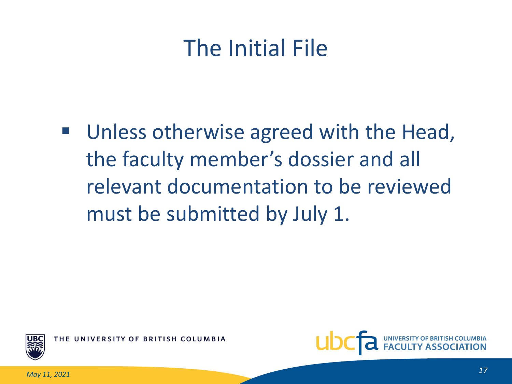## The Initial File

■ Unless otherwise agreed with the Head, the faculty member's dossier and all relevant documentation to be reviewed must be submitted by July 1.



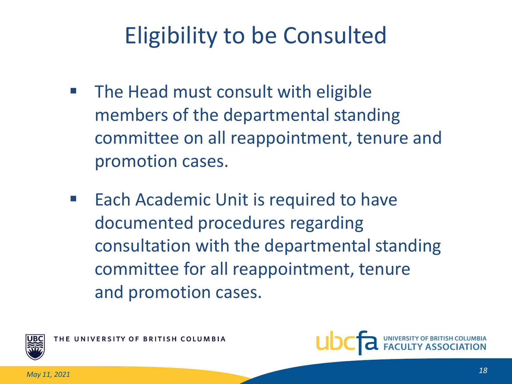## Eligibility to be Consulted

- The Head must consult with eligible members of the departmental standing committee on all reappointment, tenure and promotion cases.
- Each Academic Unit is required to have documented procedures regarding consultation with the departmental standing committee for all reappointment, tenure and promotion cases.



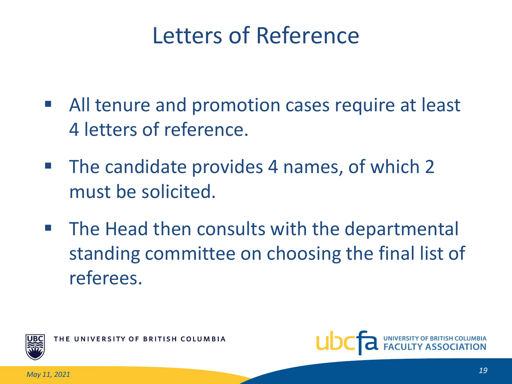## Letters of Reference

- All tenure and promotion cases require at least 4 letters of reference.
- **The candidate provides 4 names, of which 2** must be solicited.
- The Head then consults with the departmental standing committee on choosing the final list of referees.



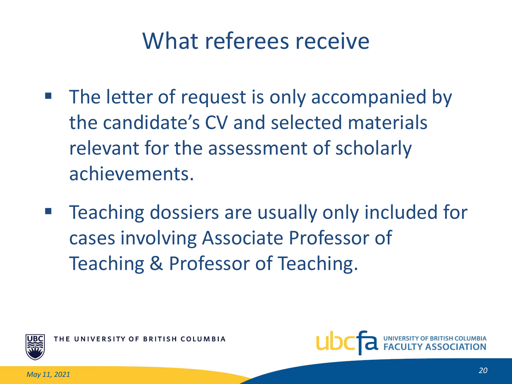## What referees receive

- The letter of request is only accompanied by the candidate's CV and selected materials relevant for the assessment of scholarly achievements.
- Teaching dossiers are usually only included for cases involving Associate Professor of Teaching & Professor of Teaching.



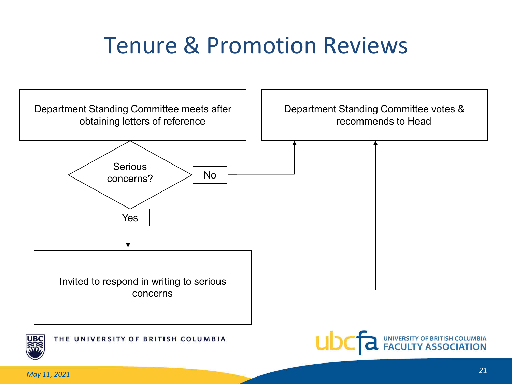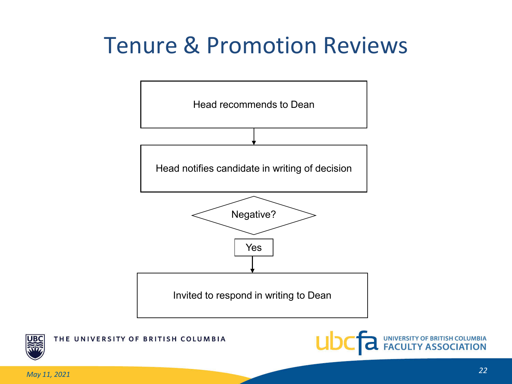



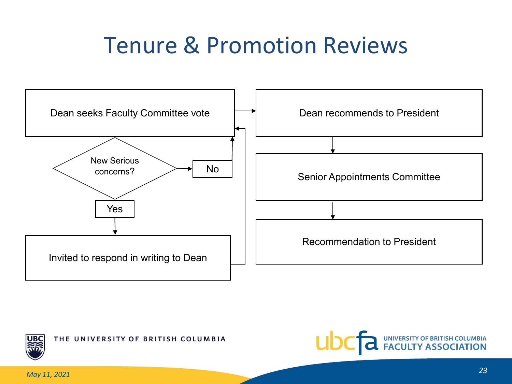



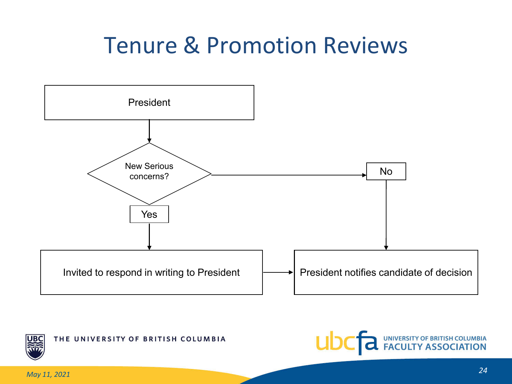



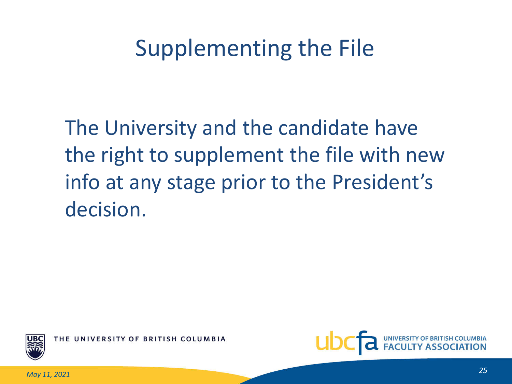## Supplementing the File

The University and the candidate have the right to supplement the file with new info at any stage prior to the President's decision.



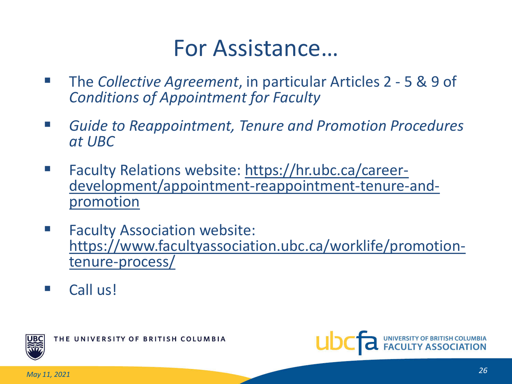#### For Assistance…

- The *Collective Agreement*, in particular Articles 2 5 & 9 of *Conditions of Appointment for Faculty*
- *Guide to Reappointment, Tenure and Promotion Procedures at UBC*
- Faculty Relations website: https://hr.ubc.ca/career-<br>development/appointment-reappointment-tenure-and-<br>promotion
- **Faculty Association website:** [https://www.facultyassociation.ubc.ca/worklife/promotion-](https://www.facultyassociation.ubc.ca/worklife/promotion-tenure-process/)<br>tenure-process/
- Call us!



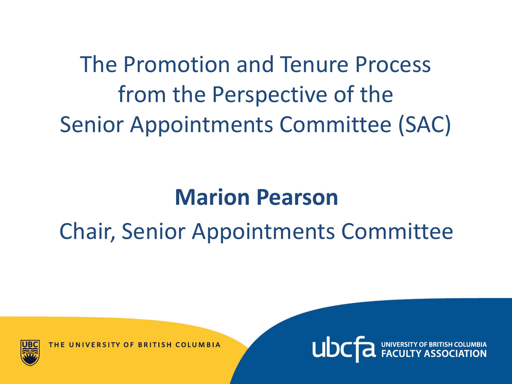The Promotion and Tenure Process from the Perspective of the Senior Appointments Committee (SAC)

#### **Marion Pearson**

## Chair, Senior Appointments Committee



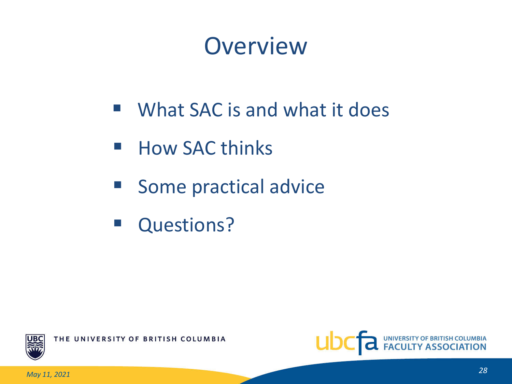## **Overview**

- What SAC is and what it does
- How SAC thinks
- **Some practical advice**
- **Questions?**



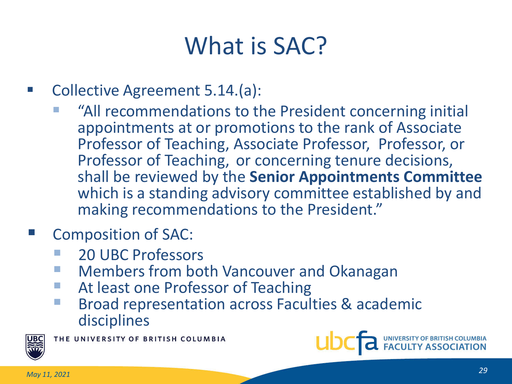## What is SAC?

- **Collective Agreement 5.14.(a):** 
	- "All recommendations to the President concerning initial appointments at or promotions to the rank of Associate Professor of Teaching, Associate Professor, Professor, or Professor of Teaching, or concerning tenure decisions, shall be reviewed by the **Senior Appointments Committee** which is a standing advisory committee established by and making recommendations to the President."
- Composition of SAC:
	- 20 UBC Professors
	- Members from both Vancouver and Okanagan
	- At least one Professor of Teaching
	- Broad representation across Faculties & academic disciplines



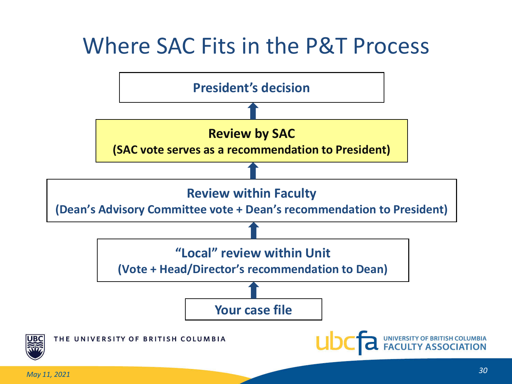### Where SAC Fits in the P&T Process

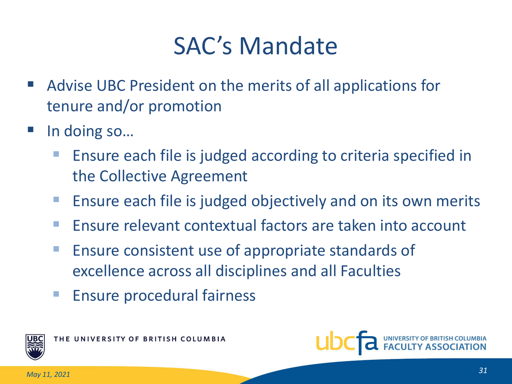## SAC's Mandate

- Advise UBC President on the merits of all applications for tenure and/or promotion
- In doing so…
	- Ensure each file is judged according to criteria specified in the Collective Agreement
	- **E** Ensure each file is judged objectively and on its own merits
	- **Ensure relevant contextual factors are taken into account**
	- **Ensure consistent use of appropriate standards of** excellence across all disciplines and all Faculties
	- **Ensure procedural fairness**



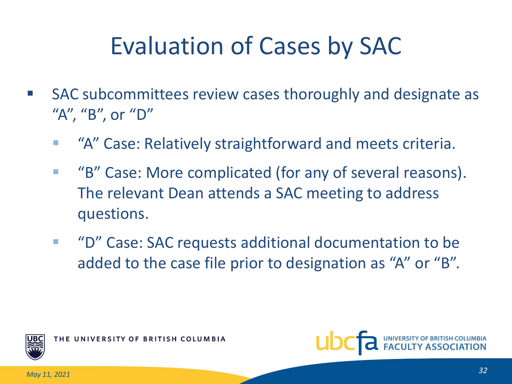## Evaluation of Cases by SAC

- **SAC subcommittees review cases thoroughly and designate as** "A", "B", or "D"
	- **EXTA'' Case: Relatively straightforward and meets criteria.**
	- "B" Case: More complicated (for any of several reasons). The relevant Dean attends a SAC meeting to address questions.
	- "D" Case: SAC requests additional documentation to be added to the case file prior to designation as "A" or "B".



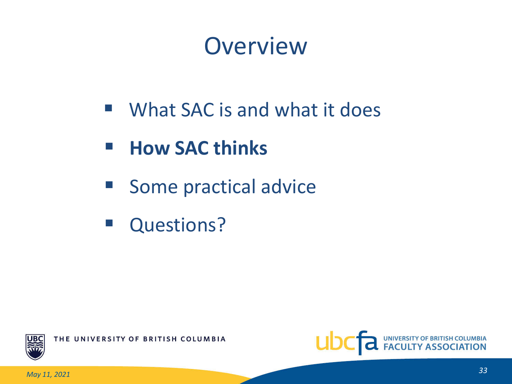## **Overview**

- What SAC is and what it does
- **How SAC thinks**
- **Some practical advice**
- **Questions?**



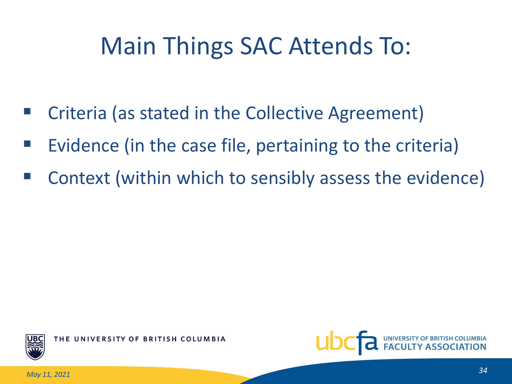## Main Things SAC Attends To:

- Criteria (as stated in the Collective Agreement)
- Evidence (in the case file, pertaining to the criteria)
- Context (within which to sensibly assess the evidence)



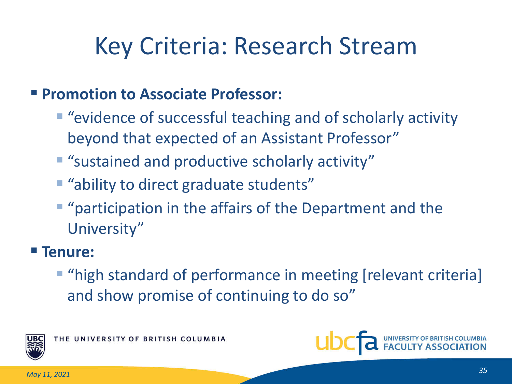## Key Criteria: Research Stream

#### **Promotion to Associate Professor:**

- "evidence of successful teaching and of scholarly activity beyond that expected of an Assistant Professor"
- "sustained and productive scholarly activity"
- **"** "ability to direct graduate students"
- **"** "participation in the affairs of the Department and the University"

#### **Tenure:**

**T** "high standard of performance in meeting [relevant criteria] and show promise of continuing to do so"



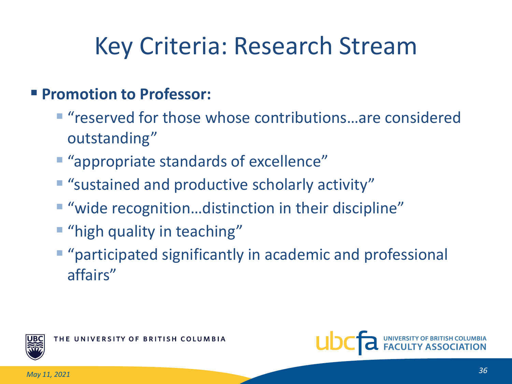## Key Criteria: Research Stream

#### **Promotion to Professor:**

- "reserved for those whose contributions...are considered outstanding"
- "appropriate standards of excellence"
- **E** "sustained and productive scholarly activity"
- "wide recognition...distinction in their discipline"
- **"** "high quality in teaching"
- **"** "participated significantly in academic and professional affairs"



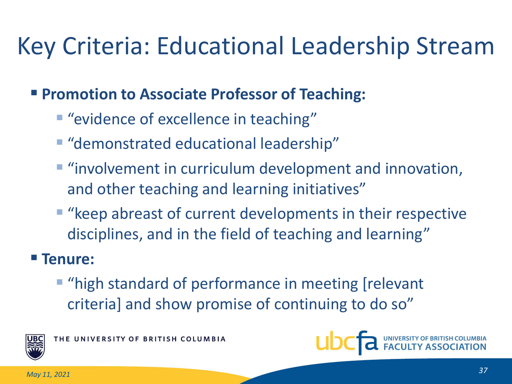## Key Criteria: Educational Leadership Stream

#### **Promotion to Associate Professor of Teaching:**

- **"** "evidence of excellence in teaching"
- "demonstrated educational leadership"
- **"** "involvement in curriculum development and innovation, and other teaching and learning initiatives"
- "keep abreast of current developments in their respective disciplines, and in the field of teaching and learning"

#### **Tenure:**

**"** "high standard of performance in meeting [relevant criteria] and show promise of continuing to do so"



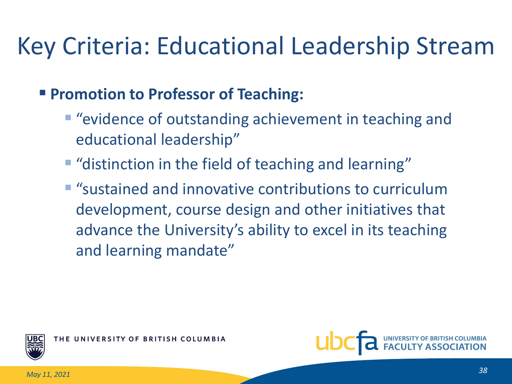## Key Criteria: Educational Leadership Stream

#### **Promotion to Professor of Teaching:**

- "evidence of outstanding achievement in teaching and educational leadership"
- **"** "distinction in the field of teaching and learning"
- "sustained and innovative contributions to curriculum development, course design and other initiatives that advance the University's ability to excel in its teaching and learning mandate"



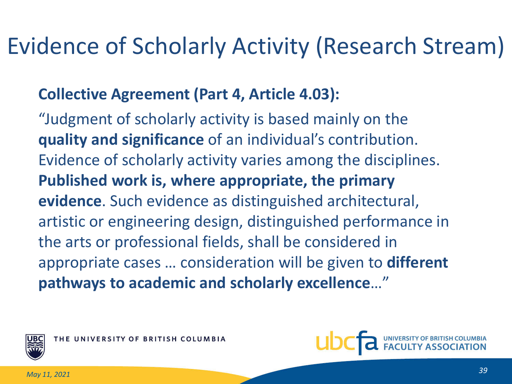## Evidence of Scholarly Activity (Research Stream)

#### **Collective Agreement (Part 4, Article 4.03):**

"Judgment of scholarly activity is based mainly on the **quality and significance** of an individual's contribution. Evidence of scholarly activity varies among the disciplines. **Published work is, where appropriate, the primary evidence**. Such evidence as distinguished architectural, artistic or engineering design, distinguished performance in the arts or professional fields, shall be considered in appropriate cases … consideration will be given to **different pathways to academic and scholarly excellence**…"



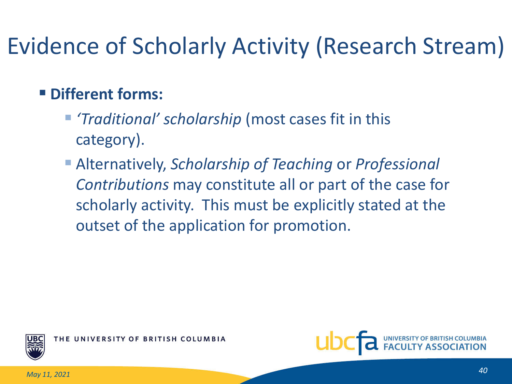## Evidence of Scholarly Activity (Research Stream)

#### **Different forms:**

- *'Traditional' scholarship* (most cases fit in this category).
- Alternatively, *Scholarship of Teaching* or *Professional Contributions* may constitute all or part of the case for scholarly activity. This must be explicitly stated at the outset of the application for promotion.



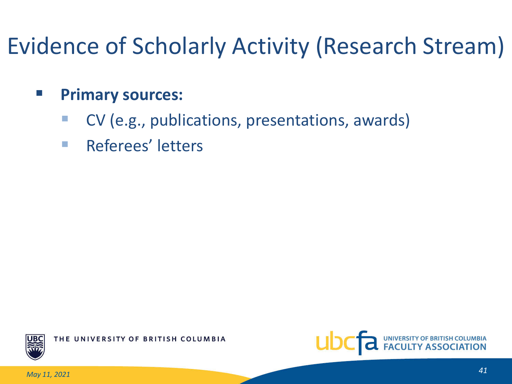## Evidence of Scholarly Activity (Research Stream)

#### **Primary sources:**

- CV (e.g., publications, presentations, awards)
- **Referees' letters**



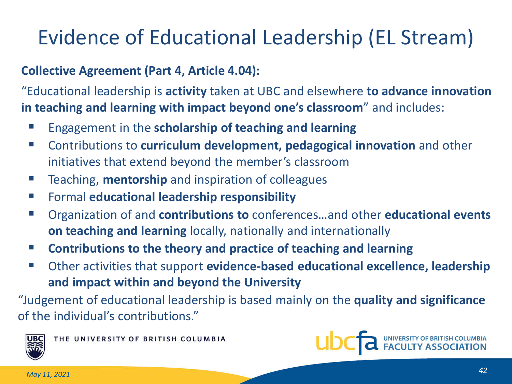## Evidence of Educational Leadership (EL Stream)

#### **Collective Agreement (Part 4, Article 4.04):**

"Educational leadership is **activity** taken at UBC and elsewhere **to advance innovation in teaching and learning with impact beyond one's classroom**" and includes:

- **Engagement in the scholarship of teaching and learning**
- Contributions to **curriculum development, pedagogical innovation** and other initiatives that extend beyond the member's classroom
- **Teaching, mentorship** and inspiration of colleagues
- Formal **educational leadership responsibility**
- Organization of and **contributions to** conferences...and other **educational events on teaching and learning** locally, nationally and internationally
- **Contributions to the theory and practice of teaching and learning**
- Other activities that support **evidence-based educational excellence, leadership and impact within and beyond the University**

"Judgement of educational leadership is based mainly on the **quality and significance** of the individual's contributions."



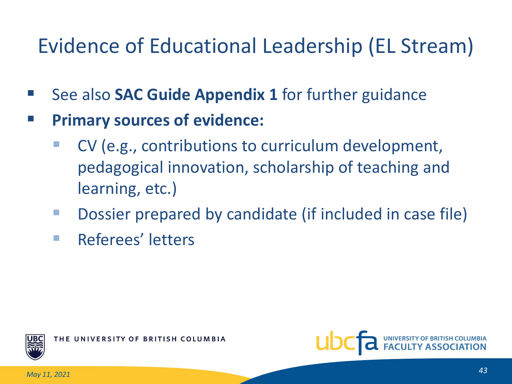### Evidence of Educational Leadership (EL Stream)

- See also **SAC Guide Appendix 1** for further guidance
- **Primary sources of evidence:**
	- CV (e.g., contributions to curriculum development, pedagogical innovation, scholarship of teaching and learning, etc.)
	- Dossier prepared by candidate (if included in case file)
	- **Referees' letters**



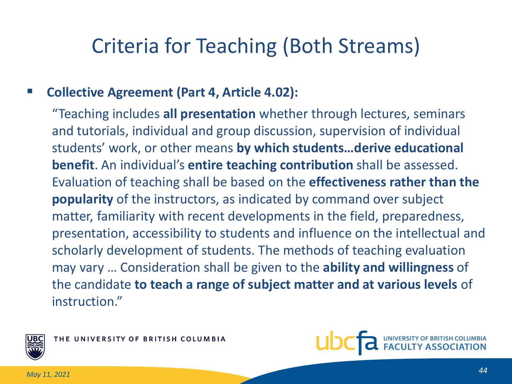#### Criteria for Teaching (Both Streams)

#### **Collective Agreement (Part 4, Article 4.02):**

"Teaching includes **all presentation** whether through lectures, seminars and tutorials, individual and group discussion, supervision of individual students' work, or other means **by which students…derive educational benefit**. An individual's **entire teaching contribution** shall be assessed. Evaluation of teaching shall be based on the **effectiveness rather than the popularity** of the instructors, as indicated by command over subject matter, familiarity with recent developments in the field, preparedness, presentation, accessibility to students and influence on the intellectual and scholarly development of students. The methods of teaching evaluation may vary … Consideration shall be given to the **ability and willingness** of the candidate **to teach a range of subject matter and at various levels** of instruction."



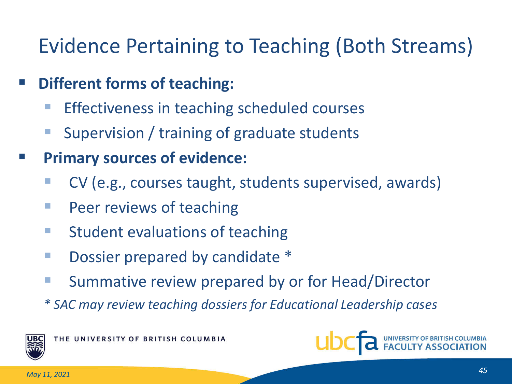#### Evidence Pertaining to Teaching (Both Streams)

- **Different forms of teaching:**
	- Effectiveness in teaching scheduled courses
	- Supervision / training of graduate students
- **Primary sources of evidence:**
	- CV (e.g., courses taught, students supervised, awards)
	- **Peer reviews of teaching**
	- $\blacksquare$  Student evaluations of teaching
	- **Dossier prepared by candidate \***
	- **Summative review prepared by or for Head/Director**
	- *\* SAC may review teaching dossiers for Educational Leadership cases*



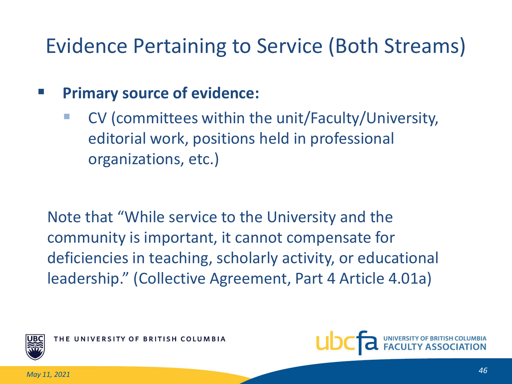#### Evidence Pertaining to Service (Both Streams)

#### **Primary source of evidence:**

 CV (committees within the unit/Faculty/University, editorial work, positions held in professional organizations, etc.)

Note that "While service to the University and the community is important, it cannot compensate for deficiencies in teaching, scholarly activity, or educational leadership." (Collective Agreement, Part 4 Article 4.01a)



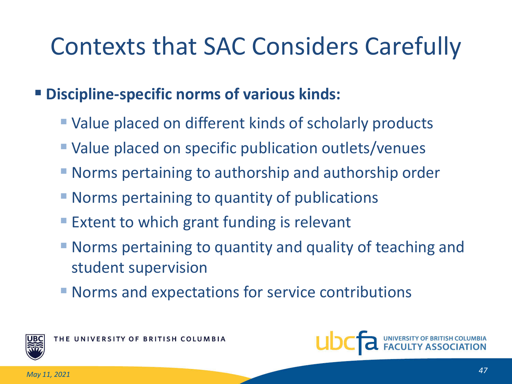## Contexts that SAC Considers Carefully

#### **Discipline-specific norms of various kinds:**

- Value placed on different kinds of scholarly products
- Value placed on specific publication outlets/venues
- Norms pertaining to authorship and authorship order
- **Norms pertaining to quantity of publications**
- **Extent to which grant funding is relevant**
- Norms pertaining to quantity and quality of teaching and student supervision
- Norms and expectations for service contributions



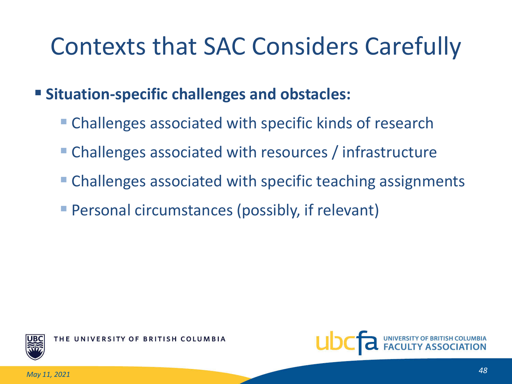## Contexts that SAC Considers Carefully

#### **Situation-specific challenges and obstacles:**

- Challenges associated with specific kinds of research
- Challenges associated with resources / infrastructure
- Challenges associated with specific teaching assignments
- Personal circumstances (possibly, if relevant)



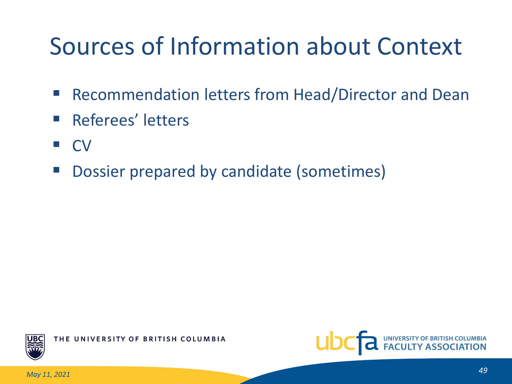## Sources of Information about Context

- Recommendation letters from Head/Director and Dean
- **Referees' letters**
- CV
- **Dossier prepared by candidate (sometimes)**



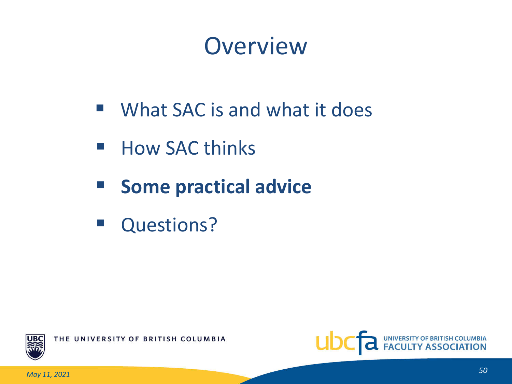## **Overview**

- What SAC is and what it does
- How SAC thinks
- **F** Some practical advice
- **Questions?**



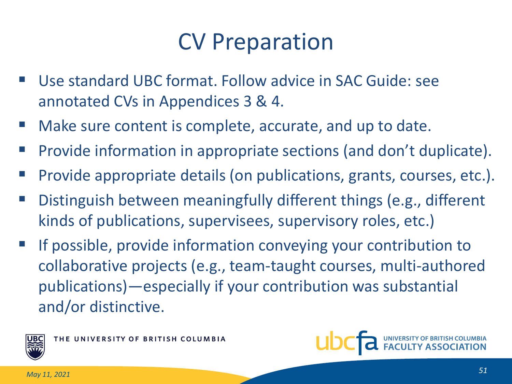### CV Preparation

- Use standard UBC format. Follow advice in SAC Guide: see annotated CVs in Appendices 3 & 4.
- Make sure content is complete, accurate, and up to date.
- Provide information in appropriate sections (and don't duplicate).
- Provide appropriate details (on publications, grants, courses, etc.).
- Distinguish between meaningfully different things (e.g., different kinds of publications, supervisees, supervisory roles, etc.)
- If possible, provide information conveying your contribution to collaborative projects (e.g., team-taught courses, multi-authored publications)—especially if your contribution was substantial and/or distinctive.



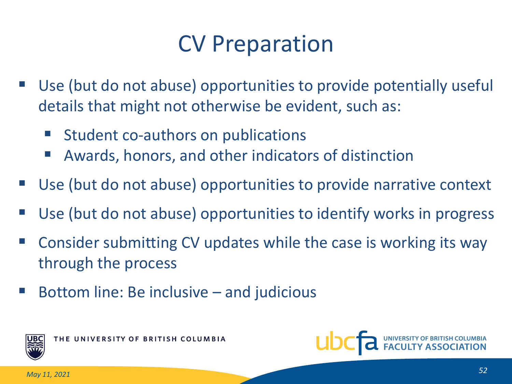## CV Preparation

- Use (but do not abuse) opportunities to provide potentially useful details that might not otherwise be evident, such as:
	- Student co-authors on publications
	- Awards, honors, and other indicators of distinction
- Use (but do not abuse) opportunities to provide narrative context
- Use (but do not abuse) opportunities to identify works in progress
- Consider submitting CV updates while the case is working its way through the process
- Bottom line: Be inclusive and judicious



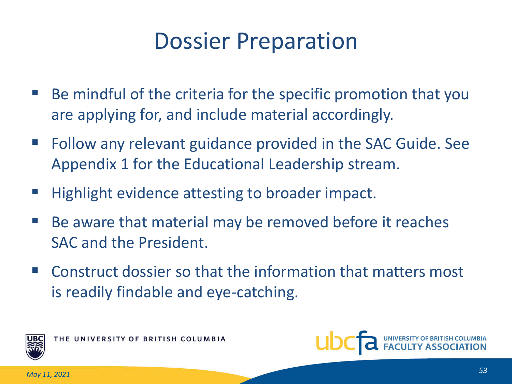### Dossier Preparation

- Be mindful of the criteria for the specific promotion that you are applying for, and include material accordingly.
- Follow any relevant guidance provided in the SAC Guide. See Appendix 1 for the Educational Leadership stream.
- Highlight evidence attesting to broader impact.
- Be aware that material may be removed before it reaches SAC and the President.
- Construct dossier so that the information that matters most is readily findable and eye-catching.



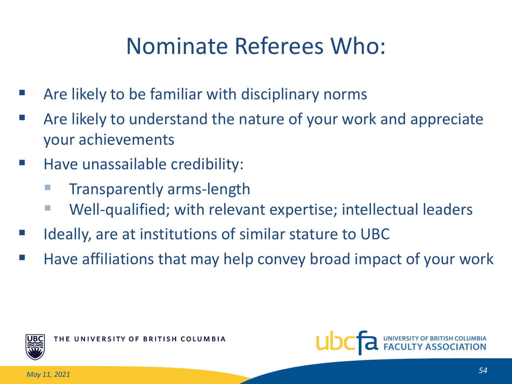## Nominate Referees Who:

- Are likely to be familiar with disciplinary norms
- Are likely to understand the nature of your work and appreciate your achievements
- Have unassailable credibility:
	- Transparently arms-length
	- Well-qualified; with relevant expertise; intellectual leaders
- Ideally, are at institutions of similar stature to UBC
- Have affiliations that may help convey broad impact of your work



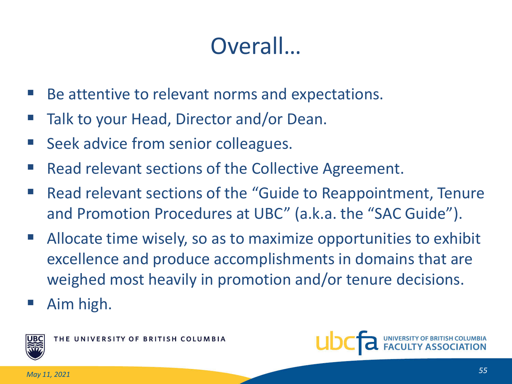## Overall…

- Be attentive to relevant norms and expectations.
- Talk to your Head, Director and/or Dean.
- Seek advice from senior colleagues.
- Read relevant sections of the Collective Agreement.
- Read relevant sections of the "Guide to Reappointment, Tenure and Promotion Procedures at UBC" (a.k.a. the "SAC Guide").
- Allocate time wisely, so as to maximize opportunities to exhibit excellence and produce accomplishments in domains that are weighed most heavily in promotion and/or tenure decisions.
- Aim high.